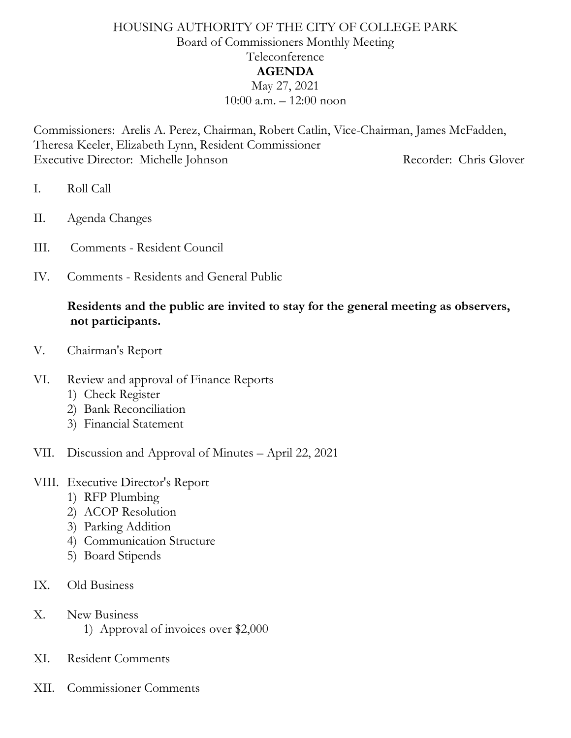#### HOUSING AUTHORITY OF THE CITY OF COLLEGE PARK Board of Commissioners Monthly Meeting Teleconference **AGENDA** May 27, 2021 10:00 a.m. – 12:00 noon

Commissioners: Arelis A. Perez, Chairman, Robert Catlin, Vice-Chairman, James McFadden, Theresa Keeler, Elizabeth Lynn, Resident Commissioner Executive Director: Michelle Johnson Recorder: Chris Glover

- I. Roll Call
- II. Agenda Changes
- III. Comments Resident Council
- IV. Comments Residents and General Public

#### **Residents and the public are invited to stay for the general meeting as observers, not participants.**

- V. Chairman's Report
- VI. Review and approval of Finance Reports
	- 1) Check Register
	- 2) Bank Reconciliation
	- 3) Financial Statement
- VII. Discussion and Approval of Minutes April 22, 2021

#### VIII. Executive Director's Report

- 1) RFP Plumbing
- 2) ACOP Resolution
- 3) Parking Addition
- 4) Communication Structure
- 5) Board Stipends
- IX. Old Business
- X. New Business
	- 1) Approval of invoices over \$2,000
- XI. Resident Comments
- XII. Commissioner Comments